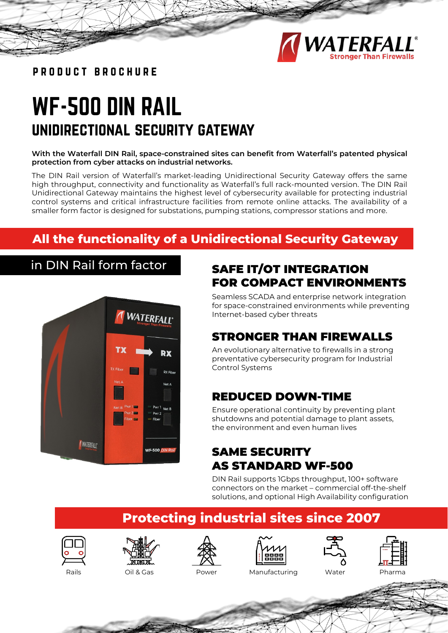

product brochure

# WF-500 DIN RAIL unidirectional security gateway

## **With the Waterfall DIN Rail, space-constrained sites can benefit from Waterfall's patented physical protection from cyber attacks on industrial networks.**

The DIN Rail version of Waterfall's market-leading Unidirectional Security Gateway offers the same high throughput, connectivity and functionality as Waterfall's full rack-mounted version. The DIN Rail Unidirectional Gateway maintains the highest level of cybersecurity available for protecting industrial control systems and critical infrastructure facilities from remote online attacks. The availability of a smaller form factor is designed for substations, pumping stations, compressor stations and more.

# **All the functionality of a Unidirectional Security Gateway**

in DIN Rail form factor



## SAFE IT/OT INTEGRATION FOR COMPACT ENVIRONMENTS

Seamless SCADA and enterprise network integration for space-constrained environments while preventing Internet-based cyber threats

# STRONGER THAN FIREWALLS

An evolutionary alternative to firewalls in a strong preventative cybersecurity program for Industrial Control Systems

## REDUCED DOWN-TIME

Ensure operational continuity by preventing plant shutdowns and potential damage to plant assets, the environment and even human lives

# SAME SECURITY AS STANDARD WF-500

DIN Rail supports 1Gbps throughput, 100+ software connectors on the market – commercial off-the-shelf solutions, and optional High Availability configuration

# **Protecting industrial sites since 2007**